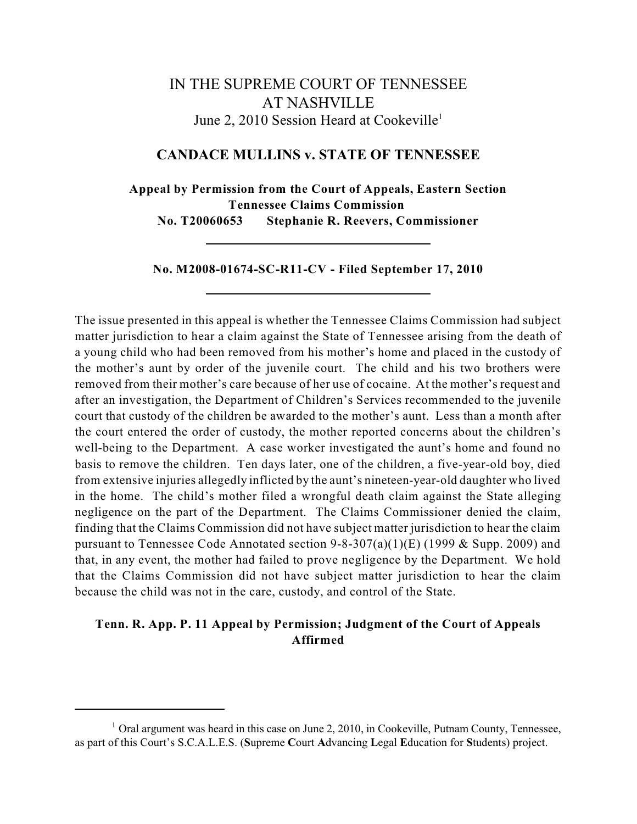# IN THE SUPREME COURT OF TENNESSEE AT NASHVILLE June 2, 2010 Session Heard at Cookeville<sup>1</sup>

## **CANDACE MULLINS v. STATE OF TENNESSEE**

**Appeal by Permission from the Court of Appeals, Eastern Section Tennessee Claims Commission No. T20060653 Stephanie R. Reevers, Commissioner**

**No. M2008-01674-SC-R11-CV - Filed September 17, 2010**

The issue presented in this appeal is whether the Tennessee Claims Commission had subject matter jurisdiction to hear a claim against the State of Tennessee arising from the death of a young child who had been removed from his mother's home and placed in the custody of the mother's aunt by order of the juvenile court. The child and his two brothers were removed from their mother's care because of her use of cocaine. At the mother's request and after an investigation, the Department of Children's Services recommended to the juvenile court that custody of the children be awarded to the mother's aunt. Less than a month after the court entered the order of custody, the mother reported concerns about the children's well-being to the Department. A case worker investigated the aunt's home and found no basis to remove the children. Ten days later, one of the children, a five-year-old boy, died from extensive injuries allegedly inflicted by the aunt's nineteen-year-old daughter who lived in the home. The child's mother filed a wrongful death claim against the State alleging negligence on the part of the Department. The Claims Commissioner denied the claim, finding that the Claims Commission did not have subject matter jurisdiction to hear the claim pursuant to Tennessee Code Annotated section 9-8-307(a)(1)(E) (1999 & Supp. 2009) and that, in any event, the mother had failed to prove negligence by the Department. We hold that the Claims Commission did not have subject matter jurisdiction to hear the claim because the child was not in the care, custody, and control of the State.

# **Tenn. R. App. P. 11 Appeal by Permission; Judgment of the Court of Appeals Affirmed**

 $1$  Oral argument was heard in this case on June 2, 2010, in Cookeville, Putnam County, Tennessee, as part of this Court's S.C.A.L.E.S. (**S**upreme **C**ourt **A**dvancing **L**egal **E**ducation for **S**tudents) project.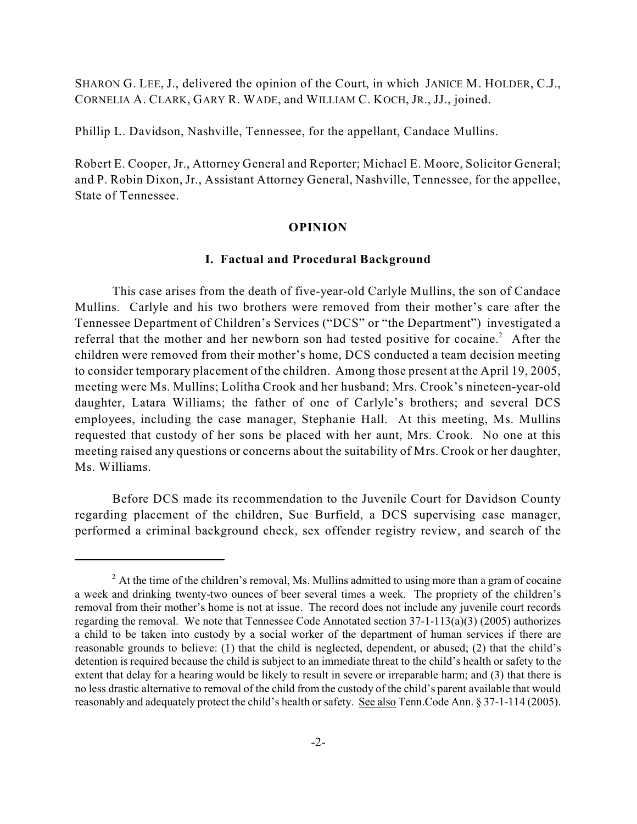SHARON G. LEE, J., delivered the opinion of the Court, in which JANICE M. HOLDER, C.J., CORNELIA A. CLARK, GARY R. WADE, and WILLIAM C. KOCH, JR., JJ., joined.

Phillip L. Davidson, Nashville, Tennessee, for the appellant, Candace Mullins.

Robert E. Cooper, Jr., Attorney General and Reporter; Michael E. Moore, Solicitor General; and P. Robin Dixon, Jr., Assistant Attorney General, Nashville, Tennessee, for the appellee, State of Tennessee.

#### **OPINION**

### **I. Factual and Procedural Background**

This case arises from the death of five-year-old Carlyle Mullins, the son of Candace Mullins. Carlyle and his two brothers were removed from their mother's care after the Tennessee Department of Children's Services ("DCS" or "the Department") investigated a referral that the mother and her newborn son had tested positive for cocaine.<sup>2</sup> After the children were removed from their mother's home, DCS conducted a team decision meeting to consider temporary placement of the children. Among those present at the April 19, 2005, meeting were Ms. Mullins; Lolitha Crook and her husband; Mrs. Crook's nineteen-year-old daughter, Latara Williams; the father of one of Carlyle's brothers; and several DCS employees, including the case manager, Stephanie Hall. At this meeting, Ms. Mullins requested that custody of her sons be placed with her aunt, Mrs. Crook. No one at this meeting raised any questions or concerns about the suitability of Mrs. Crook or her daughter, Ms. Williams.

Before DCS made its recommendation to the Juvenile Court for Davidson County regarding placement of the children, Sue Burfield, a DCS supervising case manager, performed a criminal background check, sex offender registry review, and search of the

 $2$  At the time of the children's removal, Ms. Mullins admitted to using more than a gram of cocaine a week and drinking twenty-two ounces of beer several times a week. The propriety of the children's removal from their mother's home is not at issue. The record does not include any juvenile court records regarding the removal. We note that Tennessee Code Annotated section 37-1-113(a)(3) (2005) authorizes a child to be taken into custody by a social worker of the department of human services if there are reasonable grounds to believe: (1) that the child is neglected, dependent, or abused; (2) that the child's detention is required because the child is subject to an immediate threat to the child's health or safety to the extent that delay for a hearing would be likely to result in severe or irreparable harm; and (3) that there is no less drastic alternative to removal of the child from the custody of the child's parent available that would reasonably and adequately protect the child's health or safety. See also Tenn.Code Ann. § 37-1-114 (2005).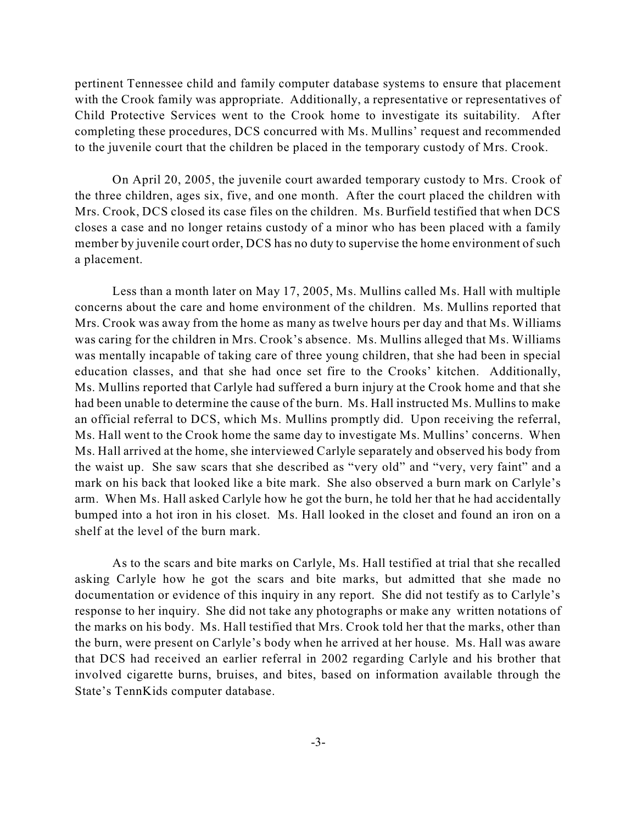pertinent Tennessee child and family computer database systems to ensure that placement with the Crook family was appropriate. Additionally, a representative or representatives of Child Protective Services went to the Crook home to investigate its suitability. After completing these procedures, DCS concurred with Ms. Mullins' request and recommended to the juvenile court that the children be placed in the temporary custody of Mrs. Crook.

On April 20, 2005, the juvenile court awarded temporary custody to Mrs. Crook of the three children, ages six, five, and one month. After the court placed the children with Mrs. Crook, DCS closed its case files on the children. Ms. Burfield testified that when DCS closes a case and no longer retains custody of a minor who has been placed with a family member by juvenile court order, DCS has no duty to supervise the home environment of such a placement.

Less than a month later on May 17, 2005, Ms. Mullins called Ms. Hall with multiple concerns about the care and home environment of the children. Ms. Mullins reported that Mrs. Crook was away from the home as many as twelve hours per day and that Ms. Williams was caring for the children in Mrs. Crook's absence. Ms. Mullins alleged that Ms. Williams was mentally incapable of taking care of three young children, that she had been in special education classes, and that she had once set fire to the Crooks' kitchen. Additionally, Ms. Mullins reported that Carlyle had suffered a burn injury at the Crook home and that she had been unable to determine the cause of the burn. Ms. Hall instructed Ms. Mullins to make an official referral to DCS, which Ms. Mullins promptly did. Upon receiving the referral, Ms. Hall went to the Crook home the same day to investigate Ms. Mullins' concerns. When Ms. Hall arrived at the home, she interviewed Carlyle separately and observed his body from the waist up. She saw scars that she described as "very old" and "very, very faint" and a mark on his back that looked like a bite mark. She also observed a burn mark on Carlyle's arm. When Ms. Hall asked Carlyle how he got the burn, he told her that he had accidentally bumped into a hot iron in his closet. Ms. Hall looked in the closet and found an iron on a shelf at the level of the burn mark.

As to the scars and bite marks on Carlyle, Ms. Hall testified at trial that she recalled asking Carlyle how he got the scars and bite marks, but admitted that she made no documentation or evidence of this inquiry in any report. She did not testify as to Carlyle's response to her inquiry. She did not take any photographs or make any written notations of the marks on his body. Ms. Hall testified that Mrs. Crook told her that the marks, other than the burn, were present on Carlyle's body when he arrived at her house. Ms. Hall was aware that DCS had received an earlier referral in 2002 regarding Carlyle and his brother that involved cigarette burns, bruises, and bites, based on information available through the State's TennKids computer database.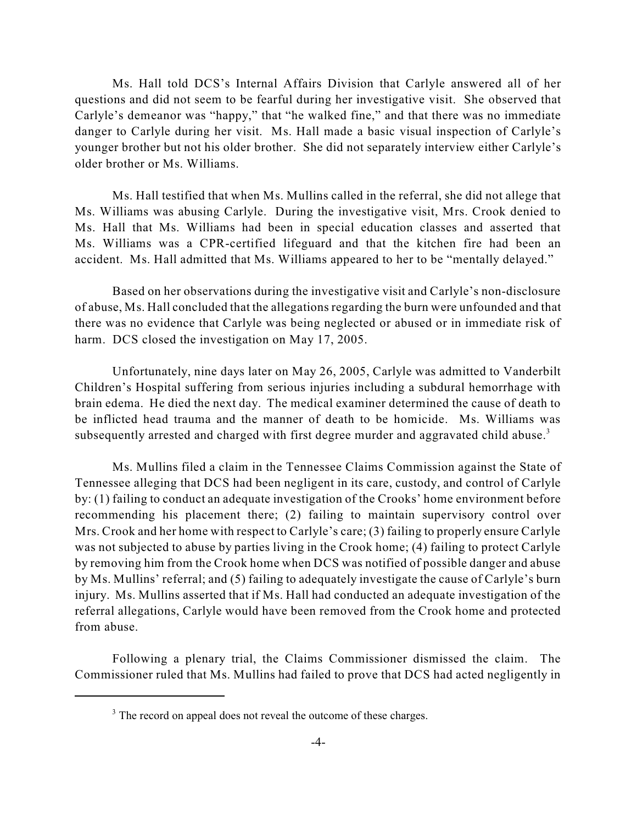Ms. Hall told DCS's Internal Affairs Division that Carlyle answered all of her questions and did not seem to be fearful during her investigative visit. She observed that Carlyle's demeanor was "happy," that "he walked fine," and that there was no immediate danger to Carlyle during her visit. Ms. Hall made a basic visual inspection of Carlyle's younger brother but not his older brother. She did not separately interview either Carlyle's older brother or Ms. Williams.

Ms. Hall testified that when Ms. Mullins called in the referral, she did not allege that Ms. Williams was abusing Carlyle. During the investigative visit, Mrs. Crook denied to Ms. Hall that Ms. Williams had been in special education classes and asserted that Ms. Williams was a CPR-certified lifeguard and that the kitchen fire had been an accident. Ms. Hall admitted that Ms. Williams appeared to her to be "mentally delayed."

Based on her observations during the investigative visit and Carlyle's non-disclosure of abuse, Ms. Hall concluded that the allegations regarding the burn were unfounded and that there was no evidence that Carlyle was being neglected or abused or in immediate risk of harm. DCS closed the investigation on May 17, 2005.

Unfortunately, nine days later on May 26, 2005, Carlyle was admitted to Vanderbilt Children's Hospital suffering from serious injuries including a subdural hemorrhage with brain edema. He died the next day. The medical examiner determined the cause of death to be inflicted head trauma and the manner of death to be homicide. Ms. Williams was subsequently arrested and charged with first degree murder and aggravated child abuse.<sup>3</sup>

Ms. Mullins filed a claim in the Tennessee Claims Commission against the State of Tennessee alleging that DCS had been negligent in its care, custody, and control of Carlyle by: (1) failing to conduct an adequate investigation of the Crooks' home environment before recommending his placement there; (2) failing to maintain supervisory control over Mrs. Crook and her home with respect to Carlyle's care; (3) failing to properly ensure Carlyle was not subjected to abuse by parties living in the Crook home; (4) failing to protect Carlyle by removing him from the Crook home when DCS was notified of possible danger and abuse by Ms. Mullins' referral; and (5) failing to adequately investigate the cause of Carlyle's burn injury. Ms. Mullins asserted that if Ms. Hall had conducted an adequate investigation of the referral allegations, Carlyle would have been removed from the Crook home and protected from abuse.

Following a plenary trial, the Claims Commissioner dismissed the claim. The Commissioner ruled that Ms. Mullins had failed to prove that DCS had acted negligently in

<sup>&</sup>lt;sup>3</sup> The record on appeal does not reveal the outcome of these charges.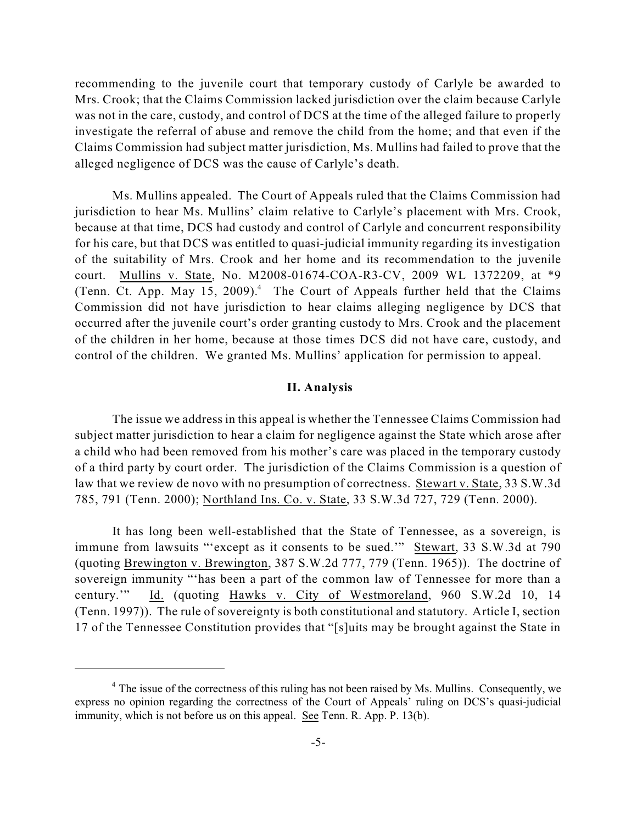recommending to the juvenile court that temporary custody of Carlyle be awarded to Mrs. Crook; that the Claims Commission lacked jurisdiction over the claim because Carlyle was not in the care, custody, and control of DCS at the time of the alleged failure to properly investigate the referral of abuse and remove the child from the home; and that even if the Claims Commission had subject matter jurisdiction, Ms. Mullins had failed to prove that the alleged negligence of DCS was the cause of Carlyle's death.

Ms. Mullins appealed. The Court of Appeals ruled that the Claims Commission had jurisdiction to hear Ms. Mullins' claim relative to Carlyle's placement with Mrs. Crook, because at that time, DCS had custody and control of Carlyle and concurrent responsibility for his care, but that DCS was entitled to quasi-judicial immunity regarding its investigation of the suitability of Mrs. Crook and her home and its recommendation to the juvenile court. Mullins v. State, No. M2008-01674-COA-R3-CV, 2009 WL 1372209, at \*9 (Tenn. Ct. App. May 15, 2009).<sup>4</sup> The Court of Appeals further held that the Claims Commission did not have jurisdiction to hear claims alleging negligence by DCS that occurred after the juvenile court's order granting custody to Mrs. Crook and the placement of the children in her home, because at those times DCS did not have care, custody, and control of the children. We granted Ms. Mullins' application for permission to appeal.

#### **II. Analysis**

The issue we address in this appeal is whether the Tennessee Claims Commission had subject matter jurisdiction to hear a claim for negligence against the State which arose after a child who had been removed from his mother's care was placed in the temporary custody of a third party by court order. The jurisdiction of the Claims Commission is a question of law that we review de novo with no presumption of correctness. Stewart v. State, 33 S.W.3d 785, 791 (Tenn. 2000); Northland Ins. Co. v. State, 33 S.W.3d 727, 729 (Tenn. 2000).

It has long been well-established that the State of Tennessee, as a sovereign, is immune from lawsuits "'except as it consents to be sued.'" Stewart, 33 S.W.3d at 790 (quoting Brewington v. Brewington, 387 S.W.2d 777, 779 (Tenn. 1965)). The doctrine of sovereign immunity "'has been a part of the common law of Tennessee for more than a century.'" Id. (quoting Hawks v. City of Westmoreland, 960 S.W.2d 10, 14 (Tenn. 1997)). The rule of sovereignty is both constitutional and statutory. Article I, section 17 of the Tennessee Constitution provides that "[s]uits may be brought against the State in

<sup>&</sup>lt;sup>4</sup> The issue of the correctness of this ruling has not been raised by Ms. Mullins. Consequently, we express no opinion regarding the correctness of the Court of Appeals' ruling on DCS's quasi-judicial immunity, which is not before us on this appeal. See Tenn. R. App. P. 13(b).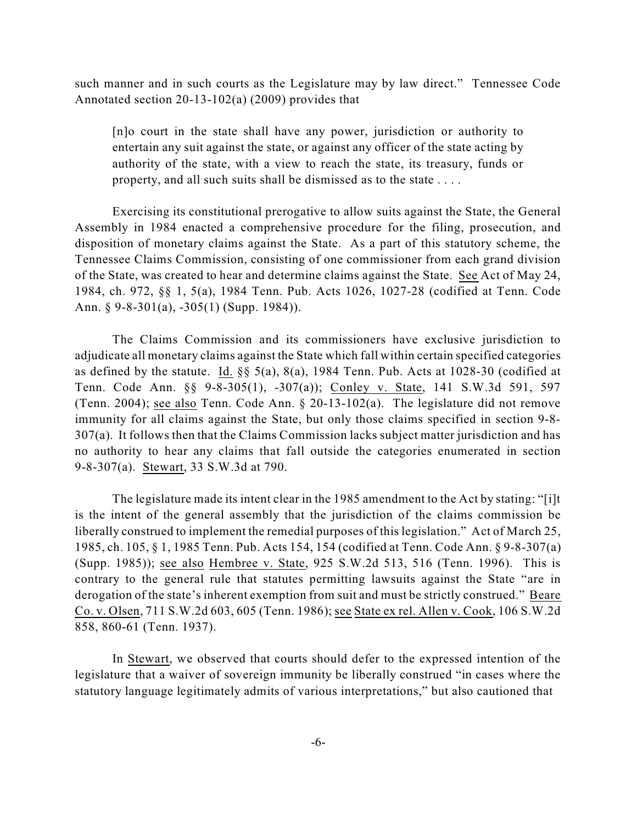such manner and in such courts as the Legislature may by law direct." Tennessee Code Annotated section 20-13-102(a) (2009) provides that

[n]o court in the state shall have any power, jurisdiction or authority to entertain any suit against the state, or against any officer of the state acting by authority of the state, with a view to reach the state, its treasury, funds or property, and all such suits shall be dismissed as to the state . . . .

Exercising its constitutional prerogative to allow suits against the State, the General Assembly in 1984 enacted a comprehensive procedure for the filing, prosecution, and disposition of monetary claims against the State. As a part of this statutory scheme, the Tennessee Claims Commission, consisting of one commissioner from each grand division of the State, was created to hear and determine claims against the State. See Act of May 24, 1984, ch. 972, §§ 1, 5(a), 1984 Tenn. Pub. Acts 1026, 1027-28 (codified at Tenn. Code Ann. § 9-8-301(a), -305(1) (Supp. 1984)).

The Claims Commission and its commissioners have exclusive jurisdiction to adjudicate all monetary claims against the State which fall within certain specified categories as defined by the statute. Id. §§ 5(a), 8(a), 1984 Tenn. Pub. Acts at 1028-30 (codified at Tenn. Code Ann. §§ 9-8-305(1), -307(a)); Conley v. State, 141 S.W.3d 591, 597 (Tenn. 2004); see also Tenn. Code Ann. § 20-13-102(a). The legislature did not remove immunity for all claims against the State, but only those claims specified in section 9-8- 307(a). It follows then that the Claims Commission lacks subject matter jurisdiction and has no authority to hear any claims that fall outside the categories enumerated in section 9-8-307(a). Stewart, 33 S.W.3d at 790.

The legislature made its intent clear in the 1985 amendment to the Act by stating: "[i]t is the intent of the general assembly that the jurisdiction of the claims commission be liberally construed to implement the remedial purposes of this legislation." Act of March 25, 1985, ch. 105, § 1, 1985 Tenn. Pub. Acts 154, 154 (codified at Tenn. Code Ann. § 9-8-307(a) (Supp. 1985)); see also Hembree v. State, 925 S.W.2d 513, 516 (Tenn. 1996). This is contrary to the general rule that statutes permitting lawsuits against the State "are in derogation of the state's inherent exemption from suit and must be strictly construed." Beare Co. v. Olsen, 711 S.W.2d 603, 605 (Tenn. 1986); see State ex rel. Allen v. Cook, 106 S.W.2d 858, 860-61 (Tenn. 1937).

In Stewart, we observed that courts should defer to the expressed intention of the legislature that a waiver of sovereign immunity be liberally construed "in cases where the statutory language legitimately admits of various interpretations," but also cautioned that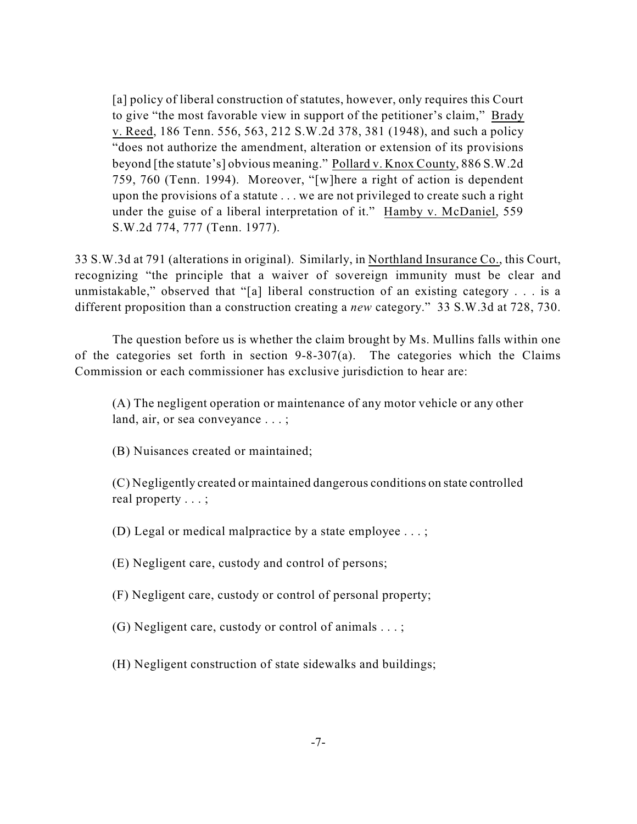[a] policy of liberal construction of statutes, however, only requires this Court to give "the most favorable view in support of the petitioner's claim," Brady v. Reed, 186 Tenn. 556, 563, 212 S.W.2d 378, 381 (1948), and such a policy "does not authorize the amendment, alteration or extension of its provisions beyond [the statute's] obvious meaning." Pollard v. Knox County, 886 S.W.2d 759, 760 (Tenn. 1994). Moreover, "[w]here a right of action is dependent upon the provisions of a statute . . . we are not privileged to create such a right under the guise of a liberal interpretation of it." Hamby v. McDaniel, 559 S.W.2d 774, 777 (Tenn. 1977).

33 S.W.3d at 791 (alterations in original). Similarly, in Northland Insurance Co., this Court, recognizing "the principle that a waiver of sovereign immunity must be clear and unmistakable," observed that "[a] liberal construction of an existing category . . . is a different proposition than a construction creating a *new* category." 33 S.W.3d at 728, 730.

The question before us is whether the claim brought by Ms. Mullins falls within one of the categories set forth in section 9-8-307(a). The categories which the Claims Commission or each commissioner has exclusive jurisdiction to hear are:

(A) The negligent operation or maintenance of any motor vehicle or any other land, air, or sea conveyance . . . ;

(B) Nuisances created or maintained;

(C) Negligently created or maintained dangerous conditions on state controlled real property . . . ;

(D) Legal or medical malpractice by a state employee . . . ;

(E) Negligent care, custody and control of persons;

(F) Negligent care, custody or control of personal property;

(G) Negligent care, custody or control of animals . . . ;

(H) Negligent construction of state sidewalks and buildings;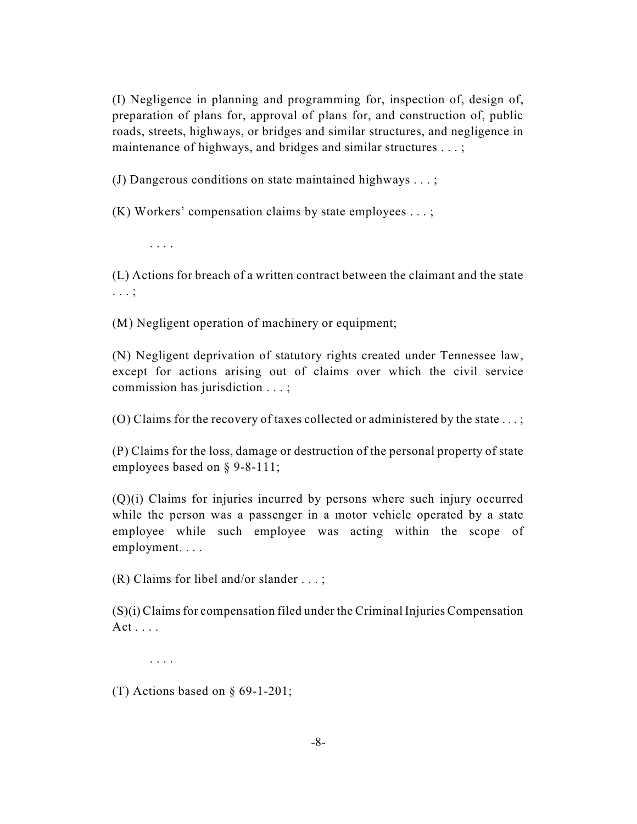(I) Negligence in planning and programming for, inspection of, design of, preparation of plans for, approval of plans for, and construction of, public roads, streets, highways, or bridges and similar structures, and negligence in maintenance of highways, and bridges and similar structures ...;

(J) Dangerous conditions on state maintained highways . . . ;

(K) Workers' compensation claims by state employees . . . ;

. . . .

(L) Actions for breach of a written contract between the claimant and the state . . . ;

(M) Negligent operation of machinery or equipment;

(N) Negligent deprivation of statutory rights created under Tennessee law, except for actions arising out of claims over which the civil service commission has jurisdiction . . . ;

(O) Claims for the recovery of taxes collected or administered by the state . . . ;

(P) Claims for the loss, damage or destruction of the personal property of state employees based on § 9-8-111;

(Q)(i) Claims for injuries incurred by persons where such injury occurred while the person was a passenger in a motor vehicle operated by a state employee while such employee was acting within the scope of employment. . . .

(R) Claims for libel and/or slander . . . ;

 $(S)(i)$  Claims for compensation filed under the Criminal Injuries Compensation  $Act \ldots$ .

. . . .

(T) Actions based on § 69-1-201;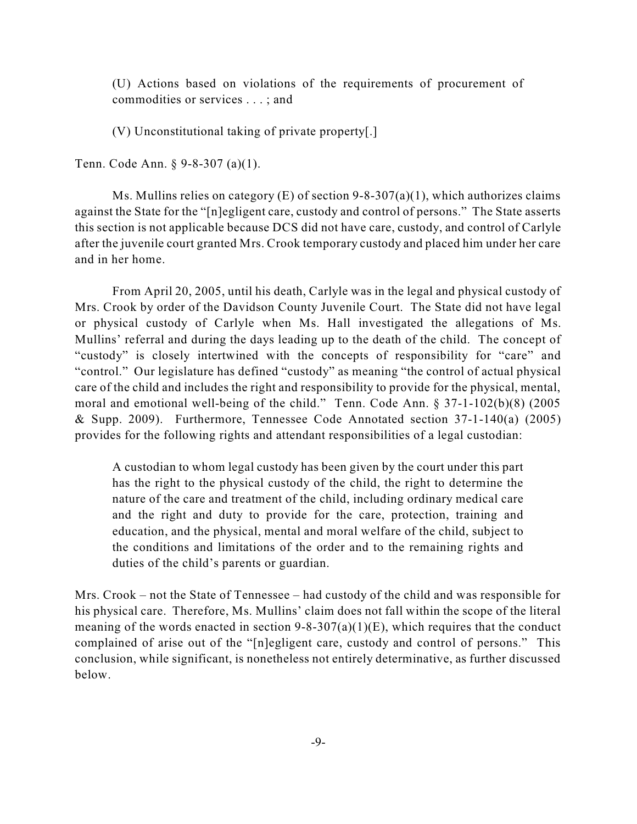(U) Actions based on violations of the requirements of procurement of commodities or services . . . ; and

(V) Unconstitutional taking of private property[.]

Tenn. Code Ann. § 9-8-307 (a)(1).

Ms. Mullins relies on category  $(E)$  of section 9-8-307(a)(1), which authorizes claims against the State for the "[n]egligent care, custody and control of persons." The State asserts this section is not applicable because DCS did not have care, custody, and control of Carlyle after the juvenile court granted Mrs. Crook temporary custody and placed him under her care and in her home.

From April 20, 2005, until his death, Carlyle was in the legal and physical custody of Mrs. Crook by order of the Davidson County Juvenile Court. The State did not have legal or physical custody of Carlyle when Ms. Hall investigated the allegations of Ms. Mullins' referral and during the days leading up to the death of the child. The concept of "custody" is closely intertwined with the concepts of responsibility for "care" and "control." Our legislature has defined "custody" as meaning "the control of actual physical care of the child and includes the right and responsibility to provide for the physical, mental, moral and emotional well-being of the child." Tenn. Code Ann. § 37-1-102(b)(8) (2005 & Supp. 2009). Furthermore, Tennessee Code Annotated section 37-1-140(a) (2005) provides for the following rights and attendant responsibilities of a legal custodian:

A custodian to whom legal custody has been given by the court under this part has the right to the physical custody of the child, the right to determine the nature of the care and treatment of the child, including ordinary medical care and the right and duty to provide for the care, protection, training and education, and the physical, mental and moral welfare of the child, subject to the conditions and limitations of the order and to the remaining rights and duties of the child's parents or guardian.

Mrs. Crook – not the State of Tennessee – had custody of the child and was responsible for his physical care. Therefore, Ms. Mullins' claim does not fall within the scope of the literal meaning of the words enacted in section  $9-8-307(a)(1)(E)$ , which requires that the conduct complained of arise out of the "[n]egligent care, custody and control of persons." This conclusion, while significant, is nonetheless not entirely determinative, as further discussed below.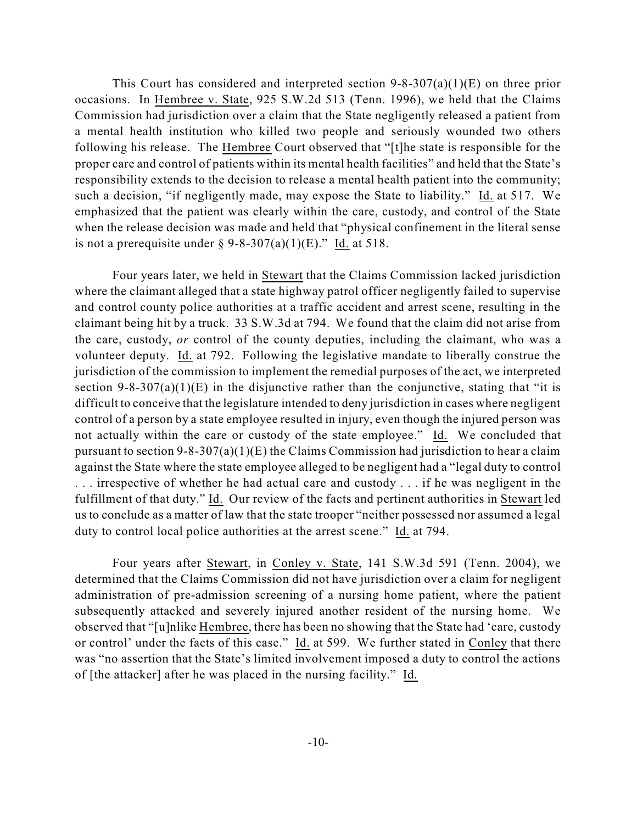This Court has considered and interpreted section  $9-8-307(a)(1)(E)$  on three prior occasions. In Hembree v. State, 925 S.W.2d 513 (Tenn. 1996), we held that the Claims Commission had jurisdiction over a claim that the State negligently released a patient from a mental health institution who killed two people and seriously wounded two others following his release. The Hembree Court observed that "[t]he state is responsible for the proper care and control of patients within its mental health facilities" and held that the State's responsibility extends to the decision to release a mental health patient into the community; such a decision, "if negligently made, may expose the State to liability." Id. at 517. We emphasized that the patient was clearly within the care, custody, and control of the State when the release decision was made and held that "physical confinement in the literal sense is not a prerequisite under  $\S 9-8-307(a)(1)(E)$ ." Id. at 518.

Four years later, we held in Stewart that the Claims Commission lacked jurisdiction where the claimant alleged that a state highway patrol officer negligently failed to supervise and control county police authorities at a traffic accident and arrest scene, resulting in the claimant being hit by a truck. 33 S.W.3d at 794. We found that the claim did not arise from the care, custody, *or* control of the county deputies, including the claimant, who was a volunteer deputy. Id. at 792. Following the legislative mandate to liberally construe the jurisdiction of the commission to implement the remedial purposes of the act, we interpreted section 9-8-307(a)(1)(E) in the disjunctive rather than the conjunctive, stating that "it is difficult to conceive that the legislature intended to deny jurisdiction in cases where negligent control of a person by a state employee resulted in injury, even though the injured person was not actually within the care or custody of the state employee." Id. We concluded that pursuant to section  $9-8-307(a)(1)(E)$  the Claims Commission had jurisdiction to hear a claim against the State where the state employee alleged to be negligent had a "legal duty to control . . . irrespective of whether he had actual care and custody . . . if he was negligent in the fulfillment of that duty." Id. Our review of the facts and pertinent authorities in Stewart led us to conclude as a matter of law that the state trooper "neither possessed nor assumed a legal duty to control local police authorities at the arrest scene." Id. at 794.

Four years after Stewart, in Conley v. State, 141 S.W.3d 591 (Tenn. 2004), we determined that the Claims Commission did not have jurisdiction over a claim for negligent administration of pre-admission screening of a nursing home patient, where the patient subsequently attacked and severely injured another resident of the nursing home. We observed that "[u]nlike Hembree, there has been no showing that the State had 'care, custody or control' under the facts of this case." Id. at 599. We further stated in Conley that there was "no assertion that the State's limited involvement imposed a duty to control the actions of [the attacker] after he was placed in the nursing facility." Id.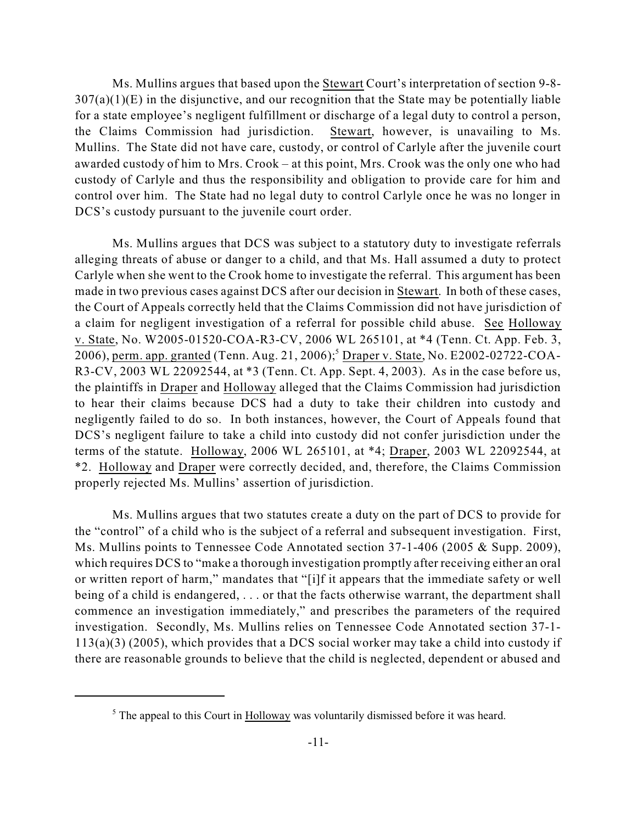Ms. Mullins argues that based upon the Stewart Court's interpretation of section 9-8-  $307(a)(1)(E)$  in the disjunctive, and our recognition that the State may be potentially liable for a state employee's negligent fulfillment or discharge of a legal duty to control a person, the Claims Commission had jurisdiction. Stewart, however, is unavailing to Ms. Mullins. The State did not have care, custody, or control of Carlyle after the juvenile court awarded custody of him to Mrs. Crook – at this point, Mrs. Crook was the only one who had custody of Carlyle and thus the responsibility and obligation to provide care for him and control over him. The State had no legal duty to control Carlyle once he was no longer in DCS's custody pursuant to the juvenile court order.

Ms. Mullins argues that DCS was subject to a statutory duty to investigate referrals alleging threats of abuse or danger to a child, and that Ms. Hall assumed a duty to protect Carlyle when she went to the Crook home to investigate the referral. This argument has been made in two previous cases against DCS after our decision in Stewart. In both of these cases, the Court of Appeals correctly held that the Claims Commission did not have jurisdiction of a claim for negligent investigation of a referral for possible child abuse. See Holloway v. State, No. W2005-01520-COA-R3-CV, 2006 WL 265101, at \*4 (Tenn. Ct. App. Feb. 3, 2006), <u>perm. app. granted</u> (Tenn. Aug. 21, 2006);<sup>5</sup> Draper v. State, No. E2002-02722-COA-R3-CV, 2003 WL 22092544, at \*3 (Tenn. Ct. App. Sept. 4, 2003). As in the case before us, the plaintiffs in Draper and Holloway alleged that the Claims Commission had jurisdiction to hear their claims because DCS had a duty to take their children into custody and negligently failed to do so. In both instances, however, the Court of Appeals found that DCS's negligent failure to take a child into custody did not confer jurisdiction under the terms of the statute. Holloway, 2006 WL 265101, at \*4; Draper, 2003 WL 22092544, at \*2. Holloway and Draper were correctly decided, and, therefore, the Claims Commission properly rejected Ms. Mullins' assertion of jurisdiction.

Ms. Mullins argues that two statutes create a duty on the part of DCS to provide for the "control" of a child who is the subject of a referral and subsequent investigation. First, Ms. Mullins points to Tennessee Code Annotated section 37-1-406 (2005 & Supp. 2009), which requires DCS to "make a thorough investigation promptly after receiving either an oral or written report of harm," mandates that "[i]f it appears that the immediate safety or well being of a child is endangered, . . . or that the facts otherwise warrant, the department shall commence an investigation immediately," and prescribes the parameters of the required investigation. Secondly, Ms. Mullins relies on Tennessee Code Annotated section 37-1- 113(a)(3) (2005), which provides that a DCS social worker may take a child into custody if there are reasonable grounds to believe that the child is neglected, dependent or abused and

 $<sup>5</sup>$  The appeal to this Court in Holloway was voluntarily dismissed before it was heard.</sup>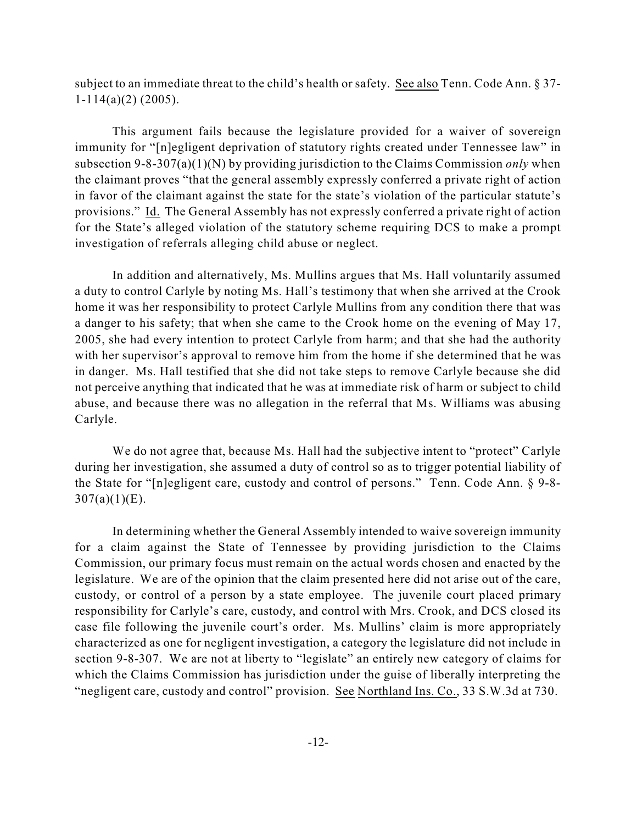subject to an immediate threat to the child's health or safety. See also Tenn. Code Ann. § 37-  $1-114(a)(2)$  (2005).

This argument fails because the legislature provided for a waiver of sovereign immunity for "[n]egligent deprivation of statutory rights created under Tennessee law" in subsection 9-8-307(a)(1)(N) by providing jurisdiction to the Claims Commission *only* when the claimant proves "that the general assembly expressly conferred a private right of action in favor of the claimant against the state for the state's violation of the particular statute's provisions." Id. The General Assembly has not expressly conferred a private right of action for the State's alleged violation of the statutory scheme requiring DCS to make a prompt investigation of referrals alleging child abuse or neglect.

In addition and alternatively, Ms. Mullins argues that Ms. Hall voluntarily assumed a duty to control Carlyle by noting Ms. Hall's testimony that when she arrived at the Crook home it was her responsibility to protect Carlyle Mullins from any condition there that was a danger to his safety; that when she came to the Crook home on the evening of May 17, 2005, she had every intention to protect Carlyle from harm; and that she had the authority with her supervisor's approval to remove him from the home if she determined that he was in danger. Ms. Hall testified that she did not take steps to remove Carlyle because she did not perceive anything that indicated that he was at immediate risk of harm or subject to child abuse, and because there was no allegation in the referral that Ms. Williams was abusing Carlyle.

We do not agree that, because Ms. Hall had the subjective intent to "protect" Carlyle during her investigation, she assumed a duty of control so as to trigger potential liability of the State for "[n]egligent care, custody and control of persons." Tenn. Code Ann. § 9-8-  $307(a)(1)(E)$ .

In determining whether the General Assembly intended to waive sovereign immunity for a claim against the State of Tennessee by providing jurisdiction to the Claims Commission, our primary focus must remain on the actual words chosen and enacted by the legislature. We are of the opinion that the claim presented here did not arise out of the care, custody, or control of a person by a state employee. The juvenile court placed primary responsibility for Carlyle's care, custody, and control with Mrs. Crook, and DCS closed its case file following the juvenile court's order. Ms. Mullins' claim is more appropriately characterized as one for negligent investigation, a category the legislature did not include in section 9-8-307. We are not at liberty to "legislate" an entirely new category of claims for which the Claims Commission has jurisdiction under the guise of liberally interpreting the "negligent care, custody and control" provision. See Northland Ins. Co., 33 S.W.3d at 730.